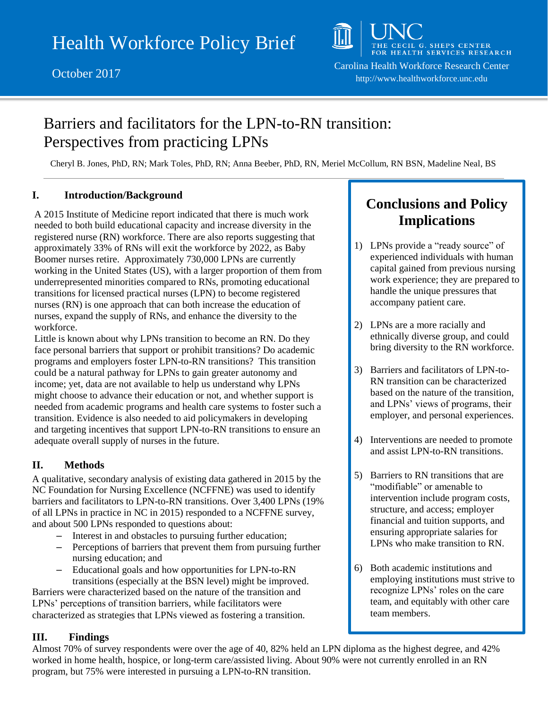

# Barriers and facilitators for the LPN-to-RN transition: Perspectives from practicing LPNs

Cheryl B. Jones, PhD, RN; Mark Toles, PhD, RN; Anna Beeber, PhD, RN, Meriel McCollum, RN BSN, Madeline Neal, BS

#### **I. Introduction/Background**

A 2015 Institute of Medicine report indicated that there is much work needed to both build educational capacity and increase diversity in the registered nurse (RN) workforce. There are also reports suggesting that approximately 33% of RNs will exit the workforce by 2022, as Baby Boomer nurses retire. Approximately 730,000 LPNs are currently working in the United States (US), with a larger proportion of them from underrepresented minorities compared to RNs, promoting educational transitions for licensed practical nurses (LPN) to become registered nurses (RN) is one approach that can both increase the education of nurses, expand the supply of RNs, and enhance the diversity to the workforce.

Little is known about why LPNs transition to become an RN. Do they face personal barriers that support or prohibit transitions? Do academic programs and employers foster LPN-to-RN transitions? This transition could be a natural pathway for LPNs to gain greater autonomy and income; yet, data are not available to help us understand why LPNs might choose to advance their education or not, and whether support is needed from academic programs and health care systems to foster such a transition. Evidence is also needed to aid policymakers in developing and targeting incentives that support LPN-to-RN transitions to ensure an adequate overall supply of nurses in the future.

### **II. Methods**

A qualitative, secondary analysis of existing data gathered in 2015 by the NC Foundation for Nursing Excellence (NCFFNE) was used to identify barriers and facilitators to LPN-to-RN transitions. Over 3,400 LPNs (19% of all LPNs in practice in NC in 2015) responded to a NCFFNE survey, and about 500 LPNs responded to questions about:

- Interest in and obstacles to pursuing further education;
- Perceptions of barriers that prevent them from pursuing further nursing education; and
- Educational goals and how opportunities for LPN-to-RN transitions (especially at the BSN level) might be improved.

Barriers were characterized based on the nature of the transition and LPNs' perceptions of transition barriers, while facilitators were characterized as strategies that LPNs viewed as fostering a transition.

### **III. Findings**

Almost 70% of survey respondents were over the age of 40, 82% held an LPN diploma as the highest degree, and 42% worked in home health, hospice, or long-term care/assisted living. About 90% were not currently enrolled in an RN program, but 75% were interested in pursuing a LPN-to-RN transition.

## **Conclusions and Policy Implications**

- 1) LPNs provide a "ready source" of experienced individuals with human capital gained from previous nursing work experience; they are prepared to handle the unique pressures that accompany patient care.
- 2) LPNs are a more racially and ethnically diverse group, and could bring diversity to the RN workforce.
- 3) Barriers and facilitators of LPN-to-RN transition can be characterized based on the nature of the transition, and LPNs' views of programs, their employer, and personal experiences.
- 4) Interventions are needed to promote and assist LPN-to-RN transitions.
- 5) Barriers to RN transitions that are "modifiable" or amenable to intervention include program costs, structure, and access; employer financial and tuition supports, and ensuring appropriate salaries for LPNs who make transition to RN.
- 6) Both academic institutions and employing institutions must strive to recognize LPNs' roles on the care team, and equitably with other care team members.